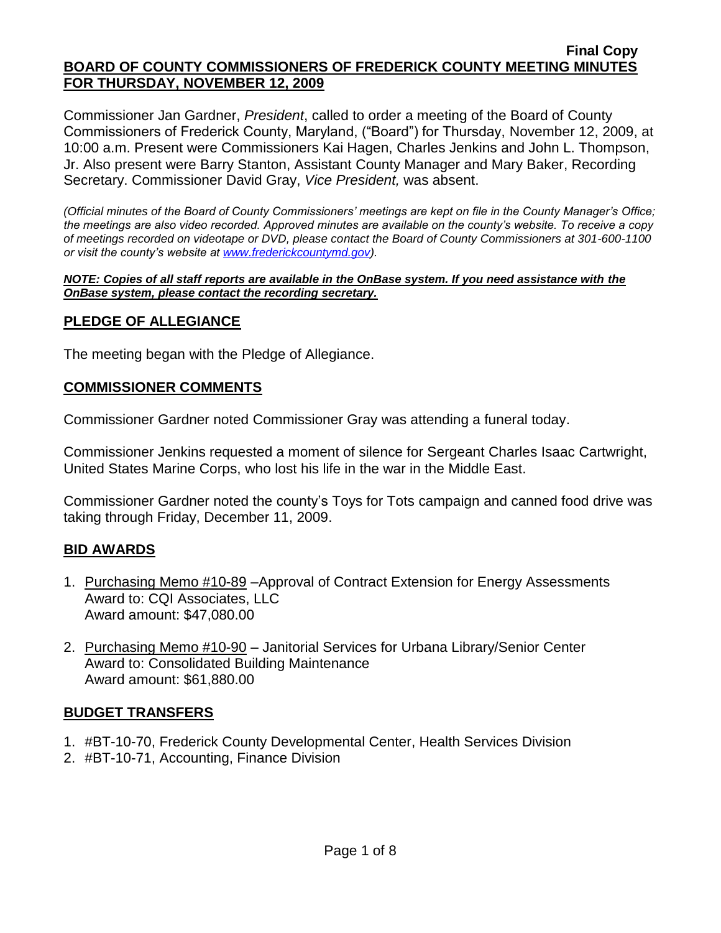Commissioner Jan Gardner, *President*, called to order a meeting of the Board of County Commissioners of Frederick County, Maryland, ("Board") for Thursday, November 12, 2009, at 10:00 a.m. Present were Commissioners Kai Hagen, Charles Jenkins and John L. Thompson, Jr. Also present were Barry Stanton, Assistant County Manager and Mary Baker, Recording Secretary. Commissioner David Gray, *Vice President,* was absent.

*(Official minutes of the Board of County Commissioners' meetings are kept on file in the County Manager's Office; the meetings are also video recorded. Approved minutes are available on the county's website. To receive a copy of meetings recorded on videotape or DVD, please contact the Board of County Commissioners at 301-600-1100 or visit the county's website at [www.frederickcountymd.gov\)](www.frederickcountymd.gov).*

#### *NOTE: Copies of all staff reports are available in the OnBase system. If you need assistance with the OnBase system, please contact the recording secretary.*

### **PLEDGE OF ALLEGIANCE**

The meeting began with the Pledge of Allegiance.

## **COMMISSIONER COMMENTS**

Commissioner Gardner noted Commissioner Gray was attending a funeral today.

Commissioner Jenkins requested a moment of silence for Sergeant Charles Isaac Cartwright, United States Marine Corps, who lost his life in the war in the Middle East.

Commissioner Gardner noted the county's Toys for Tots campaign and canned food drive was taking through Friday, December 11, 2009.

## **BID AWARDS**

- 1. Purchasing Memo #10-89 Approval of Contract Extension for Energy Assessments Award to: CQI Associates, LLC Award amount: \$47,080.00
- 2. Purchasing Memo #10-90 Janitorial Services for Urbana Library/Senior Center Award to: Consolidated Building Maintenance Award amount: \$61,880.00

## **BUDGET TRANSFERS**

- 1. #BT-10-70, Frederick County Developmental Center, Health Services Division
- 2. #BT-10-71, Accounting, Finance Division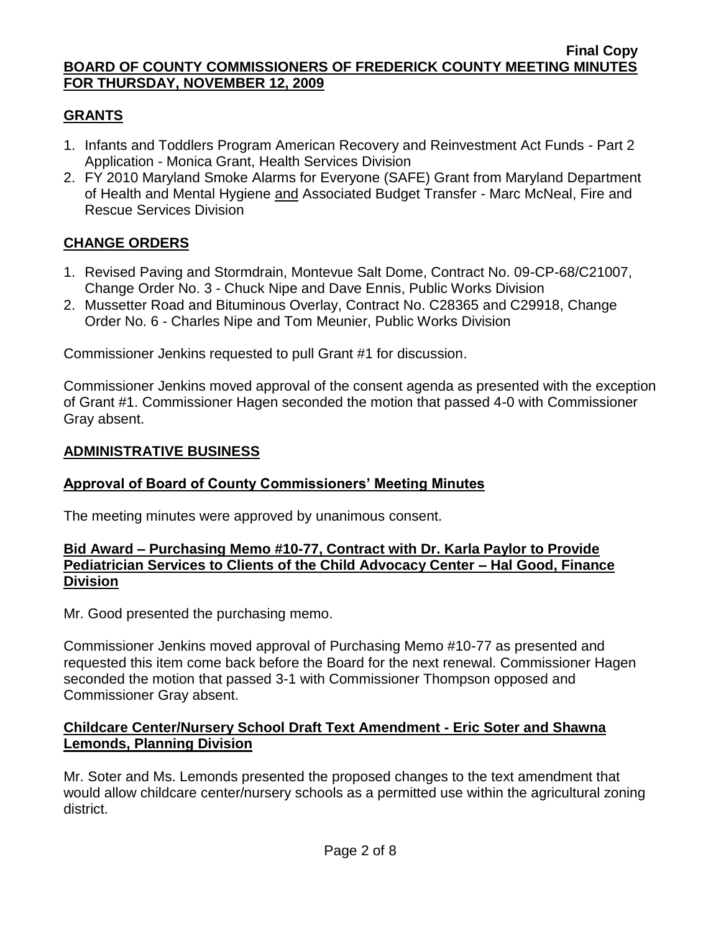# **GRANTS**

- 1. Infants and Toddlers Program American Recovery and Reinvestment Act Funds Part 2 Application - Monica Grant, Health Services Division
- 2. FY 2010 Maryland Smoke Alarms for Everyone (SAFE) Grant from Maryland Department of Health and Mental Hygiene and Associated Budget Transfer - Marc McNeal, Fire and Rescue Services Division

# **CHANGE ORDERS**

- 1. Revised Paving and Stormdrain, Montevue Salt Dome, Contract No. 09-CP-68/C21007, Change Order No. 3 - Chuck Nipe and Dave Ennis, Public Works Division
- 2. Mussetter Road and Bituminous Overlay, Contract No. C28365 and C29918, Change Order No. 6 - Charles Nipe and Tom Meunier, Public Works Division

Commissioner Jenkins requested to pull Grant #1 for discussion.

Commissioner Jenkins moved approval of the consent agenda as presented with the exception of Grant #1. Commissioner Hagen seconded the motion that passed 4-0 with Commissioner Gray absent.

### **ADMINISTRATIVE BUSINESS**

## **Approval of Board of County Commissioners' Meeting Minutes**

The meeting minutes were approved by unanimous consent.

#### **Bid Award – Purchasing Memo #10-77, Contract with Dr. Karla Paylor to Provide Pediatrician Services to Clients of the Child Advocacy Center – Hal Good, Finance Division**

Mr. Good presented the purchasing memo.

Commissioner Jenkins moved approval of Purchasing Memo #10-77 as presented and requested this item come back before the Board for the next renewal. Commissioner Hagen seconded the motion that passed 3-1 with Commissioner Thompson opposed and Commissioner Gray absent.

### **Childcare Center/Nursery School Draft Text Amendment - Eric Soter and Shawna Lemonds, Planning Division**

Mr. Soter and Ms. Lemonds presented the proposed changes to the text amendment that would allow childcare center/nursery schools as a permitted use within the agricultural zoning district.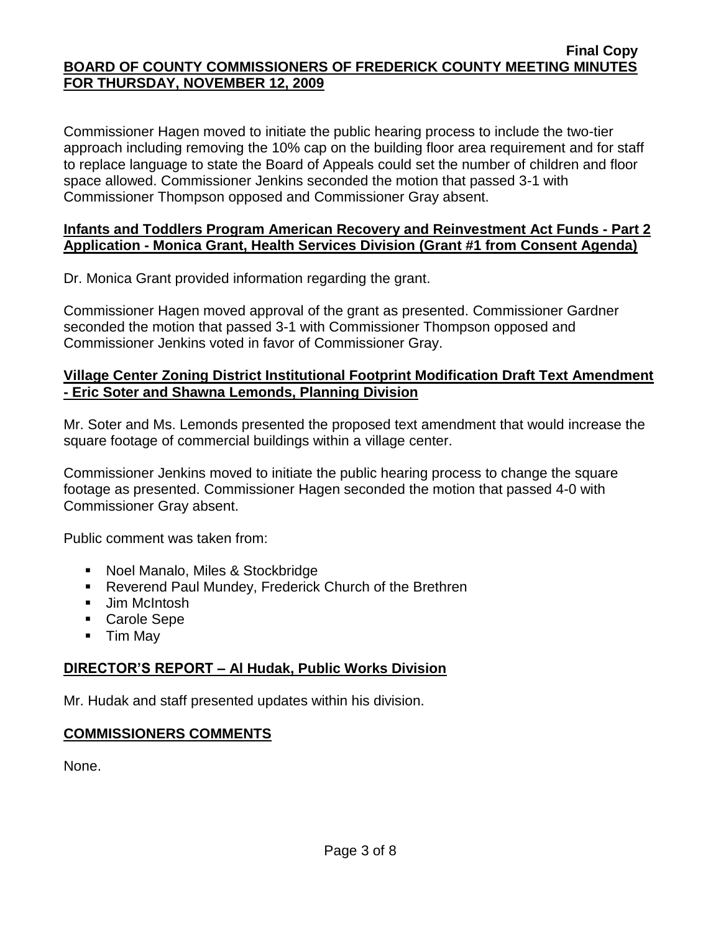Commissioner Hagen moved to initiate the public hearing process to include the two-tier approach including removing the 10% cap on the building floor area requirement and for staff to replace language to state the Board of Appeals could set the number of children and floor space allowed. Commissioner Jenkins seconded the motion that passed 3-1 with Commissioner Thompson opposed and Commissioner Gray absent.

### **Infants and Toddlers Program American Recovery and Reinvestment Act Funds - Part 2 Application - Monica Grant, Health Services Division (Grant #1 from Consent Agenda)**

Dr. Monica Grant provided information regarding the grant.

Commissioner Hagen moved approval of the grant as presented. Commissioner Gardner seconded the motion that passed 3-1 with Commissioner Thompson opposed and Commissioner Jenkins voted in favor of Commissioner Gray.

# **Village Center Zoning District Institutional Footprint Modification Draft Text Amendment - Eric Soter and Shawna Lemonds, Planning Division**

Mr. Soter and Ms. Lemonds presented the proposed text amendment that would increase the square footage of commercial buildings within a village center.

Commissioner Jenkins moved to initiate the public hearing process to change the square footage as presented. Commissioner Hagen seconded the motion that passed 4-0 with Commissioner Gray absent.

Public comment was taken from:

- **Noel Manalo, Miles & Stockbridge**
- Reverend Paul Mundey, Frederick Church of the Brethren
- **Jim McIntosh**
- Carole Sepe
- Tim May

# **DIRECTOR'S REPORT – Al Hudak, Public Works Division**

Mr. Hudak and staff presented updates within his division.

# **COMMISSIONERS COMMENTS**

None.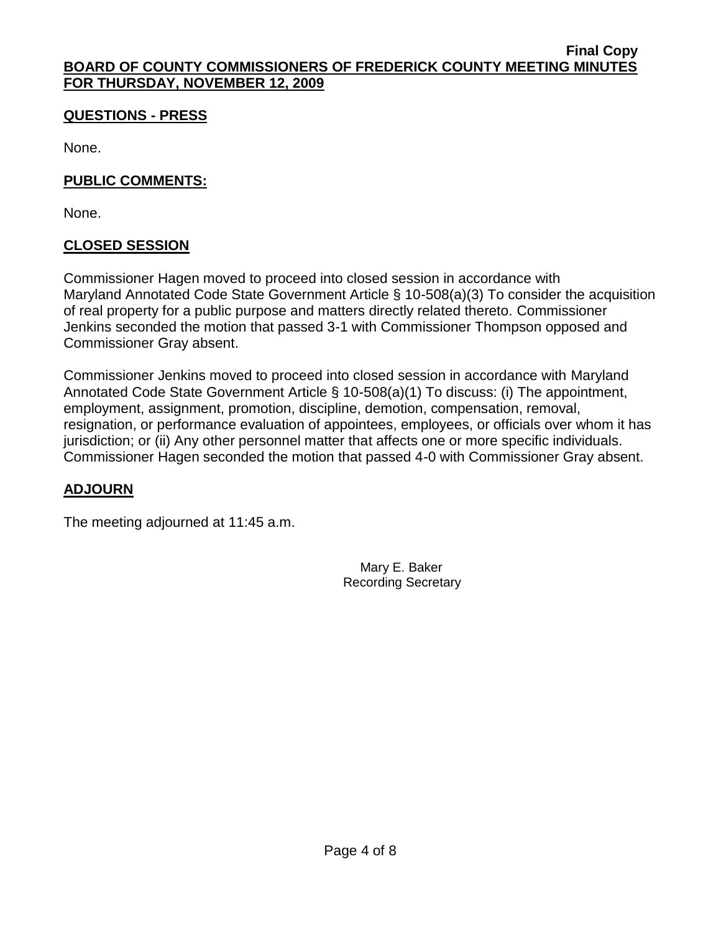# **QUESTIONS - PRESS**

None.

# **PUBLIC COMMENTS:**

None.

# **CLOSED SESSION**

Commissioner Hagen moved to proceed into closed session in accordance with Maryland Annotated Code State Government Article § 10-508(a)(3) To consider the acquisition of real property for a public purpose and matters directly related thereto. Commissioner Jenkins seconded the motion that passed 3-1 with Commissioner Thompson opposed and Commissioner Gray absent.

Commissioner Jenkins moved to proceed into closed session in accordance with Maryland Annotated Code State Government Article § 10-508(a)(1) To discuss: (i) The appointment, employment, assignment, promotion, discipline, demotion, compensation, removal, resignation, or performance evaluation of appointees, employees, or officials over whom it has jurisdiction; or (ii) Any other personnel matter that affects one or more specific individuals. Commissioner Hagen seconded the motion that passed 4-0 with Commissioner Gray absent.

# **ADJOURN**

The meeting adjourned at 11:45 a.m.

 Mary E. Baker Recording Secretary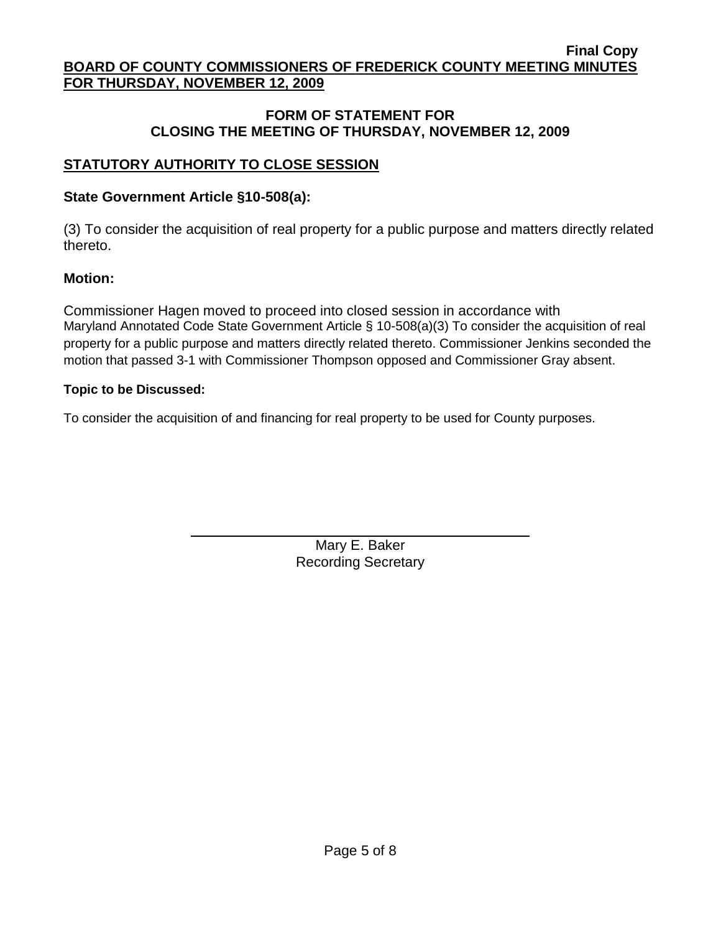### **FORM OF STATEMENT FOR CLOSING THE MEETING OF THURSDAY, NOVEMBER 12, 2009**

# **STATUTORY AUTHORITY TO CLOSE SESSION**

# **State Government Article §10-508(a):**

(3) To consider the acquisition of real property for a public purpose and matters directly related thereto.

# **Motion:**

Commissioner Hagen moved to proceed into closed session in accordance with Maryland Annotated Code State Government Article § 10-508(a)(3) To consider the acquisition of real property for a public purpose and matters directly related thereto. Commissioner Jenkins seconded the motion that passed 3-1 with Commissioner Thompson opposed and Commissioner Gray absent.

### **Topic to be Discussed:**

To consider the acquisition of and financing for real property to be used for County purposes.

Mary E. Baker Recording Secretary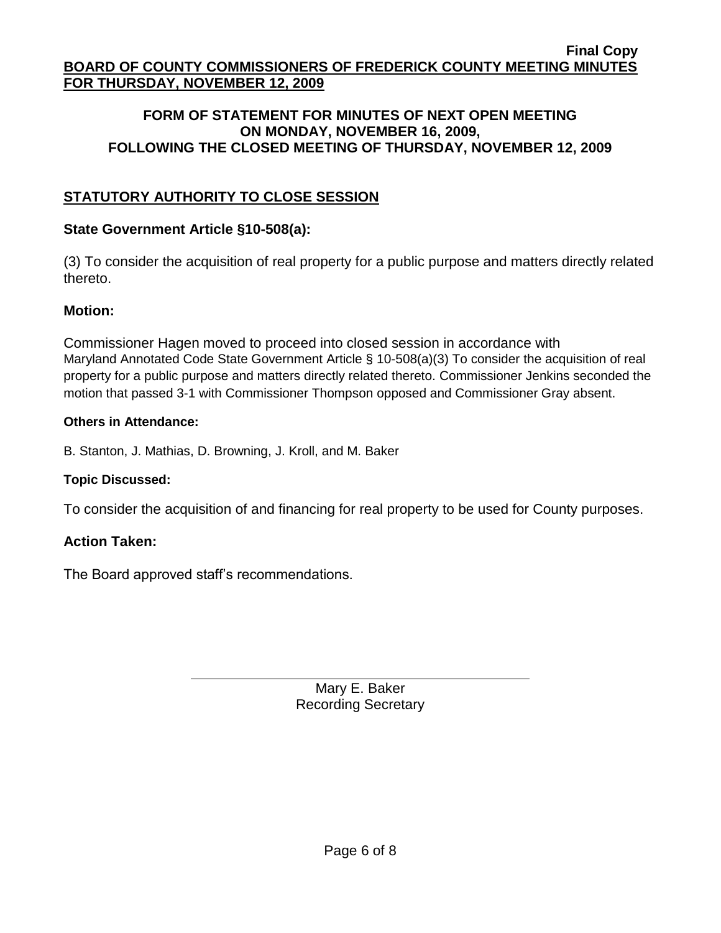#### **FORM OF STATEMENT FOR MINUTES OF NEXT OPEN MEETING ON MONDAY, NOVEMBER 16, 2009, FOLLOWING THE CLOSED MEETING OF THURSDAY, NOVEMBER 12, 2009**

# **STATUTORY AUTHORITY TO CLOSE SESSION**

# **State Government Article §10-508(a):**

(3) To consider the acquisition of real property for a public purpose and matters directly related thereto.

# **Motion:**

Commissioner Hagen moved to proceed into closed session in accordance with Maryland Annotated Code State Government Article § 10-508(a)(3) To consider the acquisition of real property for a public purpose and matters directly related thereto. Commissioner Jenkins seconded the motion that passed 3-1 with Commissioner Thompson opposed and Commissioner Gray absent.

### **Others in Attendance:**

B. Stanton, J. Mathias, D. Browning, J. Kroll, and M. Baker

## **Topic Discussed:**

To consider the acquisition of and financing for real property to be used for County purposes.

## **Action Taken:**

The Board approved staff's recommendations.

Mary E. Baker Recording Secretary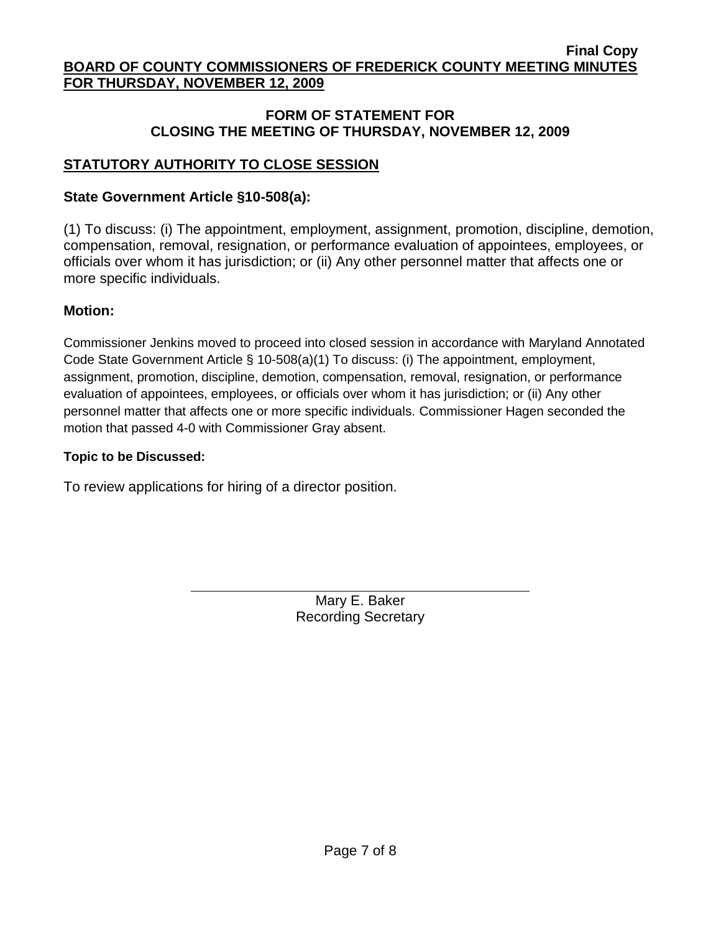### **FORM OF STATEMENT FOR CLOSING THE MEETING OF THURSDAY, NOVEMBER 12, 2009**

# **STATUTORY AUTHORITY TO CLOSE SESSION**

# **State Government Article §10-508(a):**

(1) To discuss: (i) The appointment, employment, assignment, promotion, discipline, demotion, compensation, removal, resignation, or performance evaluation of appointees, employees, or officials over whom it has jurisdiction; or (ii) Any other personnel matter that affects one or more specific individuals.

# **Motion:**

Commissioner Jenkins moved to proceed into closed session in accordance with Maryland Annotated Code State Government Article § 10-508(a)(1) To discuss: (i) The appointment, employment, assignment, promotion, discipline, demotion, compensation, removal, resignation, or performance evaluation of appointees, employees, or officials over whom it has jurisdiction; or (ii) Any other personnel matter that affects one or more specific individuals. Commissioner Hagen seconded the motion that passed 4-0 with Commissioner Gray absent.

### **Topic to be Discussed:**

To review applications for hiring of a director position.

Mary E. Baker Recording Secretary